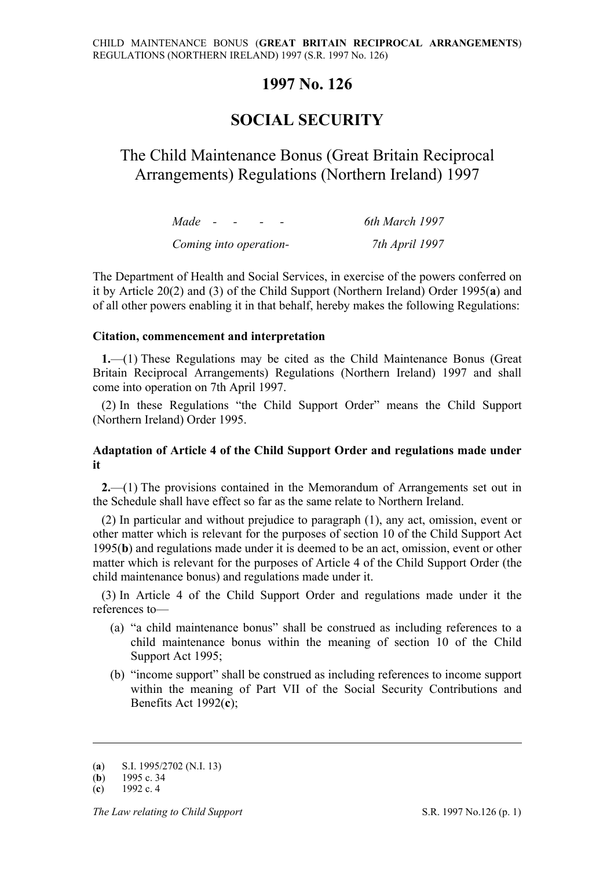### **1997 No. 126**

# **SOCIAL SECURITY**

# The Child Maintenance Bonus (Great Britain Reciprocal Arrangements) Regulations (Northern Ireland) 1997

| Made<br>$\sim$ $\sim$ $\sim$ | 6th March 1997 |
|------------------------------|----------------|
| Coming into operation-       | 7th April 1997 |

The Department of Health and Social Services, in exercise of the powers conferred on it by Article 20(2) and (3) of the Child Support (Northern Ireland) Order 1995(**a**) and of all other powers enabling it in that behalf, hereby makes the following Regulations:

#### **Citation, commencement and interpretation**

**1.**—(1) These Regulations may be cited as the Child Maintenance Bonus (Great Britain Reciprocal Arrangements) Regulations (Northern Ireland) 1997 and shall come into operation on 7th April 1997.

(2) In these Regulations "the Child Support Order" means the Child Support (Northern Ireland) Order 1995.

### **Adaptation of Article 4 of the Child Support Order and regulations made under it**

**2.**—(1) The provisions contained in the Memorandum of Arrangements set out in the Schedule shall have effect so far as the same relate to Northern Ireland.

(2) In particular and without prejudice to paragraph (1), any act, omission, event or other matter which is relevant for the purposes of section 10 of the Child Support Act 1995(**b**) and regulations made under it is deemed to be an act, omission, event or other matter which is relevant for the purposes of Article 4 of the Child Support Order (the child maintenance bonus) and regulations made under it.

(3) In Article 4 of the Child Support Order and regulations made under it the references to—

- (a) "a child maintenance bonus" shall be construed as including references to a child maintenance bonus within the meaning of section 10 of the Child Support Act 1995;
- (b) "income support" shall be construed as including references to income support within the meaning of Part VII of the Social Security Contributions and Benefits Act 1992(**c**);

<u>.</u>

<sup>(</sup>**a**) S.I. 1995/2702 (N.I. 13)

<sup>(</sup>**b**) 1995 c. 34

<sup>(</sup>**c**) 1992 c. 4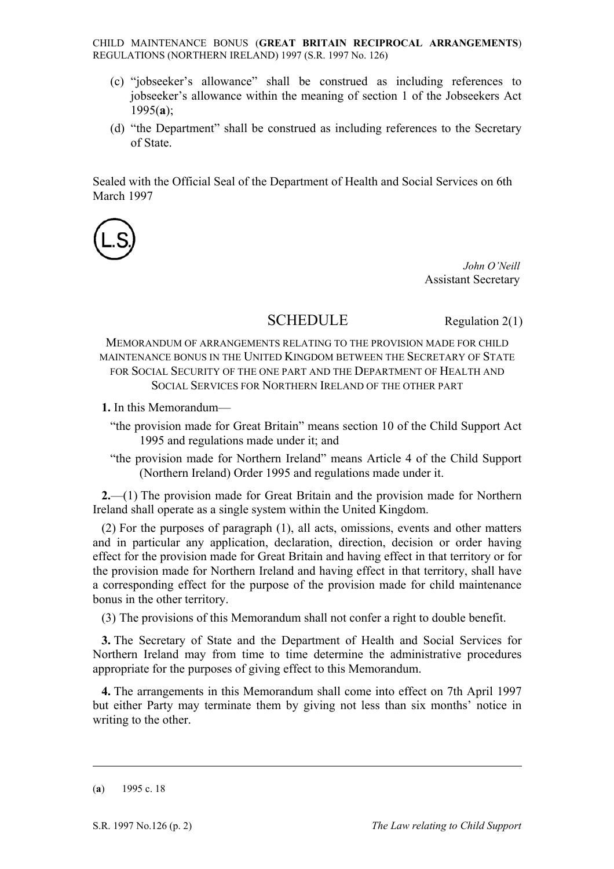CHILD MAINTENANCE BONUS (**GREAT BRITAIN RECIPROCAL ARRANGEMENTS**) REGULATIONS (NORTHERN IRELAND) 1997 (S.R. 1997 No. 126)

- (c) "jobseeker's allowance" shall be construed as including references to jobseeker's allowance within the meaning of section 1 of the Jobseekers Act 1995(**a**);
- (d) "the Department" shall be construed as including references to the Secretary of State.

Sealed with the Official Seal of the Department of Health and Social Services on 6th March 1997



*John O'Neill* Assistant Secretary

## SCHEDULE Regulation 2(1)

MEMORANDUM OF ARRANGEMENTS RELATING TO THE PROVISION MADE FOR CHILD MAINTENANCE BONUS IN THE UNITED KINGDOM BETWEEN THE SECRETARY OF STATE FOR SOCIAL SECURITY OF THE ONE PART AND THE DEPARTMENT OF HEALTH AND SOCIAL SERVICES FOR NORTHERN IRELAND OF THE OTHER PART

**1.** In this Memorandum—

- "the provision made for Great Britain" means section 10 of the Child Support Act 1995 and regulations made under it; and
- "the provision made for Northern Ireland" means Article 4 of the Child Support (Northern Ireland) Order 1995 and regulations made under it.

**2.**—(1) The provision made for Great Britain and the provision made for Northern Ireland shall operate as a single system within the United Kingdom.

(2) For the purposes of paragraph (1), all acts, omissions, events and other matters and in particular any application, declaration, direction, decision or order having effect for the provision made for Great Britain and having effect in that territory or for the provision made for Northern Ireland and having effect in that territory, shall have a corresponding effect for the purpose of the provision made for child maintenance bonus in the other territory.

(3) The provisions of this Memorandum shall not confer a right to double benefit.

**3.** The Secretary of State and the Department of Health and Social Services for Northern Ireland may from time to time determine the administrative procedures appropriate for the purposes of giving effect to this Memorandum.

**4.** The arrangements in this Memorandum shall come into effect on 7th April 1997 but either Party may terminate them by giving not less than six months' notice in writing to the other.

(**a**) 1995 c. 18

<u>.</u>